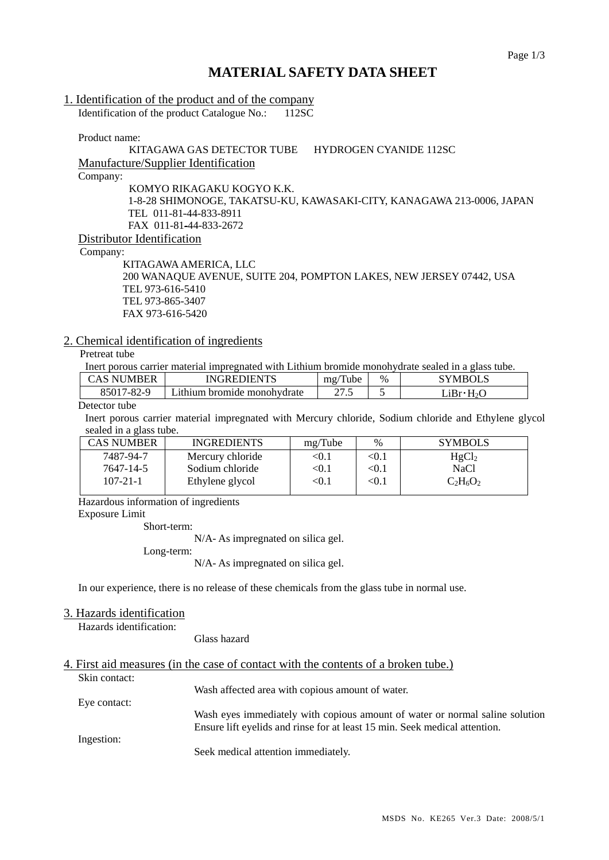# **MATERIAL SAFETY DATA SHEET**

# 1. Identification of the product and of the company

Identification of the product Catalogue No.: 112SC

Product name:

# KITAGAWA GAS DETECTOR TUBE HYDROGEN CYANIDE 112SC

Manufacture/Supplier Identification

Company:

KOMYO RIKAGAKU KOGYO K.K.

1-8-28 SHIMONOGE, TAKATSU-KU, KAWASAKI-CITY, KANAGAWA 213-0006, JAPAN TEL 011-81-44-833-8911 FAX 011-81-44-833-2672

Distributor Identification

Company:

 KITAGAWA AMERICA, LLC 200 WANAQUE AVENUE, SUITE 204, POMPTON LAKES, NEW JERSEY 07442, USA TEL 973-616-5410 TEL 973-865-3407 FAX 973-616-5420

## 2. Chemical identification of ingredients

Pretreat tube

Inert porous carrier material impregnated with Lithium bromide monohydrate sealed in a glass tube.

| CAS NUMBER | INGREDIENTS                 | $\sqrt{2}$<br>Tube<br>$m\Omega$ | $\%$ | $\sim$ MBOLS |
|------------|-----------------------------|---------------------------------|------|--------------|
| 85017-82-9 | Lithium bromide monohvdrate | יים ב<br>ن د                    |      | .iRr• H      |
|            |                             |                                 |      |              |

#### Detector tube

Inert porous carrier material impregnated with Mercury chloride, Sodium chloride and Ethylene glycol sealed in a glass tube.

| <b>CAS NUMBER</b> | <b>INGREDIENTS</b> | mg/Tube    | $\%$                   | <b>SYMBOLS</b>    |
|-------------------|--------------------|------------|------------------------|-------------------|
| 7487-94-7         | Mercury chloride   | <0.1       | $< \! 0.1$             | HgCl <sub>2</sub> |
| 7647-14-5         | Sodium chloride    | <0.1       | $< \hspace{-0.2em}0.1$ | NaCl              |
| $107 - 21 - 1$    | Ethylene glycol    | $< \! 0.1$ | $< \hspace{-0.2em}0.1$ | $C_2H_6O_2$       |
|                   |                    |            |                        |                   |

Hazardous information of ingredients

Exposure Limit

Short-term:

N/A- As impregnated on silica gel.

Long-term:

N/A- As impregnated on silica gel.

In our experience, there is no release of these chemicals from the glass tube in normal use.

### 3. Hazards identification

Hazards identification:

Glass hazard

# 4. First aid measures (in the case of contact with the contents of a broken tube.)

Skin contact: Wash affected area with copious amount of water. Eye contact: Wash eyes immediately with copious amount of water or normal saline solution Ensure lift eyelids and rinse for at least 15 min. Seek medical attention. Ingestion: Seek medical attention immediately.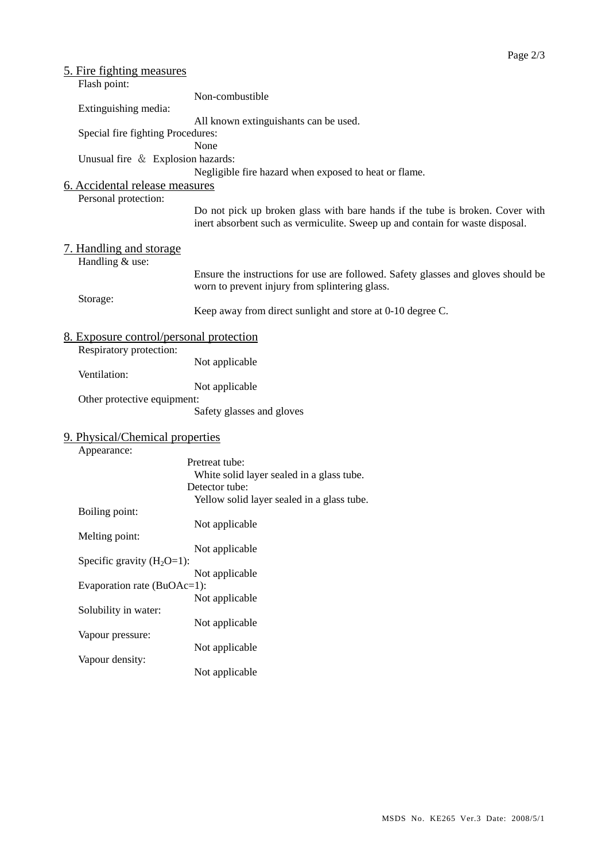| 5. Fire fighting measures                      |                                                                                                                                                                |  |
|------------------------------------------------|----------------------------------------------------------------------------------------------------------------------------------------------------------------|--|
| Flash point:                                   |                                                                                                                                                                |  |
|                                                | Non-combustible                                                                                                                                                |  |
| Extinguishing media:                           |                                                                                                                                                                |  |
| All known extinguishants can be used.          |                                                                                                                                                                |  |
| Special fire fighting Procedures:              |                                                                                                                                                                |  |
| None                                           |                                                                                                                                                                |  |
| Unusual fire & Explosion hazards:              |                                                                                                                                                                |  |
|                                                | Negligible fire hazard when exposed to heat or flame.                                                                                                          |  |
| 6. Accidental release measures                 |                                                                                                                                                                |  |
| Personal protection:                           |                                                                                                                                                                |  |
|                                                | Do not pick up broken glass with bare hands if the tube is broken. Cover with<br>inert absorbent such as vermiculite. Sweep up and contain for waste disposal. |  |
| 7. Handling and storage                        |                                                                                                                                                                |  |
| Handling & use:                                | Ensure the instructions for use are followed. Safety glasses and gloves should be<br>worn to prevent injury from splintering glass.                            |  |
| Storage:                                       | Keep away from direct sunlight and store at 0-10 degree C.                                                                                                     |  |
| <u>8. Exposure control/personal protection</u> |                                                                                                                                                                |  |
| Respiratory protection:                        |                                                                                                                                                                |  |
|                                                | Not applicable                                                                                                                                                 |  |
| Ventilation:                                   |                                                                                                                                                                |  |
|                                                | Not applicable                                                                                                                                                 |  |
| Other protective equipment:                    | Safety glasses and gloves                                                                                                                                      |  |
| 9. Physical/Chemical properties                |                                                                                                                                                                |  |
| Appearance:                                    |                                                                                                                                                                |  |
|                                                | Pretreat tube:<br>White solid layer sealed in a glass tube.                                                                                                    |  |
|                                                | Detector tube:                                                                                                                                                 |  |
|                                                | Yellow solid layer sealed in a glass tube.                                                                                                                     |  |
| Boiling point:                                 |                                                                                                                                                                |  |
|                                                | Not applicable                                                                                                                                                 |  |
| Melting point:                                 |                                                                                                                                                                |  |
|                                                | Not applicable                                                                                                                                                 |  |
| Specific gravity $(H_2O=1)$ :                  |                                                                                                                                                                |  |
|                                                | Not applicable                                                                                                                                                 |  |
| Evaporation rate (BuOAc=1):                    |                                                                                                                                                                |  |
|                                                | Not applicable                                                                                                                                                 |  |
| Solubility in water:                           |                                                                                                                                                                |  |
|                                                | Not applicable                                                                                                                                                 |  |
| Vapour pressure:                               | Not applicable                                                                                                                                                 |  |
| Vapour density:                                | Not applicable                                                                                                                                                 |  |
|                                                |                                                                                                                                                                |  |